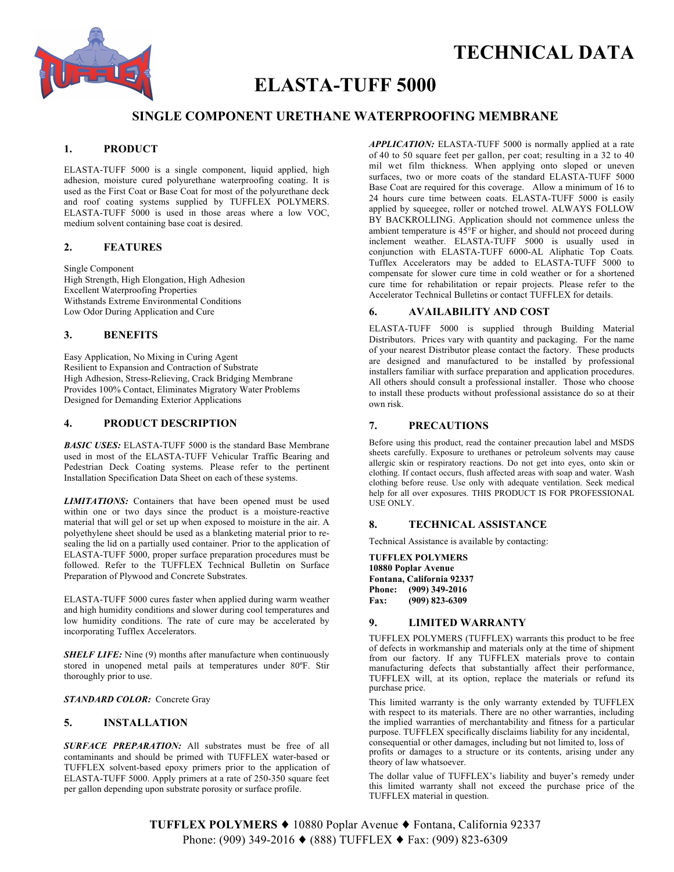

# **TECHNICAL DATA**

# **ELASTA-TUFF 5000**

# **SINGLE COMPONENT URETHANE WATERPROOFING MEMBRANE**

# **1. PRODUCT**

ELASTA-TUFF 5000 is a single component, liquid applied, high adhesion, moisture cured polyurethane waterproofing coating. It is used as the First Coat or Base Coat for most of the polyurethane deck and roof coating systems supplied by TUFFLEX POLYMERS. ELASTA-TUFF 5000 is used in those areas where a low VOC, medium solvent containing base coat is desired.

## **2. FEATURES**

Single Component High Strength, High Elongation, High Adhesion Excellent Waterproofing Properties Withstands Extreme Environmental Conditions Low Odor During Application and Cure

### **3. BENEFITS**

Easy Application, No Mixing in Curing Agent Resilient to Expansion and Contraction of Substrate High Adhesion, Stress-Relieving, Crack Bridging Membrane Provides 100% Contact, Eliminates Migratory Water Problems Designed for Demanding Exterior Applications

## **4. PRODUCT DESCRIPTION**

*BASIC USES:* ELASTA-TUFF 5000 is the standard Base Membrane used in most of the ELASTA-TUFF Vehicular Traffic Bearing and Pedestrian Deck Coating systems. Please refer to the pertinent Installation Specification Data Sheet on each of these systems.

*LIMITATIONS:* Containers that have been opened must be used within one or two days since the product is a moisture-reactive material that will gel or set up when exposed to moisture in the air. A polyethylene sheet should be used as a blanketing material prior to resealing the lid on a partially used container. Prior to the application of ELASTA-TUFF 5000, proper surface preparation procedures must be followed. Refer to the TUFFLEX Technical Bulletin on Surface Preparation of Plywood and Concrete Substrates.

ELASTA-TUFF 5000 cures faster when applied during warm weather and high humidity conditions and slower during cool temperatures and low humidity conditions. The rate of cure may be accelerated by incorporating Tufflex Accelerators.

**SHELF LIFE:** Nine (9) months after manufacture when continuously stored in unopened metal pails at temperatures under 80ºF. Stir thoroughly prior to use.

*STANDARD COLOR:* Concrete Gray

## **5. INSTALLATION**

*SURFACE PREPARATION:* All substrates must be free of all contaminants and should be primed with TUFFLEX water-based or TUFFLEX solvent-based epoxy primers prior to the application of ELASTA-TUFF 5000. Apply primers at a rate of 250-350 square feet per gallon depending upon substrate porosity or surface profile.

*APPLICATION:* ELASTA-TUFF 5000 is normally applied at a rate of 40 to 50 square feet per gallon, per coat; resulting in a 32 to 40 mil wet film thickness. When applying onto sloped or uneven surfaces, two or more coats of the standard ELASTA-TUFF 5000 Base Coat are required for this coverage. Allow a minimum of 16 to 24 hours cure time between coats. ELASTA-TUFF 5000 is easily applied by squeegee, roller or notched trowel. ALWAYS FOLLOW BY BACKROLLING. Application should not commence unless the ambient temperature is 45°F or higher, and should not proceed during inclement weather. ELASTA-TUFF 5000 is usually used in conjunction with ELASTA-TUFF 6000-AL Aliphatic Top Coats*.* Tufflex Accelerators may be added to ELASTA-TUFF 5000 to compensate for slower cure time in cold weather or for a shortened cure time for rehabilitation or repair projects. Please refer to the Accelerator Technical Bulletins or contact TUFFLEX for details.

### **6. AVAILABILITY AND COST**

ELASTA-TUFF 5000 is supplied through Building Material Distributors. Prices vary with quantity and packaging. For the name of your nearest Distributor please contact the factory. These products are designed and manufactured to be installed by professional installers familiar with surface preparation and application procedures. All others should consult a professional installer. Those who choose to install these products without professional assistance do so at their own risk.

#### **7. PRECAUTIONS**

Before using this product, read the container precaution label and MSDS sheets carefully. Exposure to urethanes or petroleum solvents may cause allergic skin or respiratory reactions. Do not get into eyes, onto skin or clothing. If contact occurs, flush affected areas with soap and water. Wash clothing before reuse. Use only with adequate ventilation. Seek medical help for all over exposures. THIS PRODUCT IS FOR PROFESSIONAL USE ONLY.

#### **8. TECHNICAL ASSISTANCE**

Technical Assistance is available by contacting:

**TUFFLEX POLYMERS 10880 Poplar Avenue Fontana, California 92337 Phone: (909) 349-2016 Fax: (909) 823-6309**

#### **9. LIMITED WARRANTY**

TUFFLEX POLYMERS (TUFFLEX) warrants this product to be free of defects in workmanship and materials only at the time of shipment from our factory. If any TUFFLEX materials prove to contain manufacturing defects that substantially affect their performance, TUFFLEX will, at its option, replace the materials or refund its purchase price.

This limited warranty is the only warranty extended by TUFFLEX with respect to its materials. There are no other warranties, including the implied warranties of merchantability and fitness for a particular purpose. TUFFLEX specifically disclaims liability for any incidental, consequential or other damages, including but not limited to, loss of profits or damages to a structure or its contents, arising under any theory of law whatsoever.

The dollar value of TUFFLEX's liability and buyer's remedy under this limited warranty shall not exceed the purchase price of the TUFFLEX material in question.

**TUFFLEX POLYMERS** ♦ 10880 Poplar Avenue ♦ Fontana, California 92337 Phone: (909) 349-2016 ♦ (888) TUFFLEX ♦ Fax: (909) 823-6309